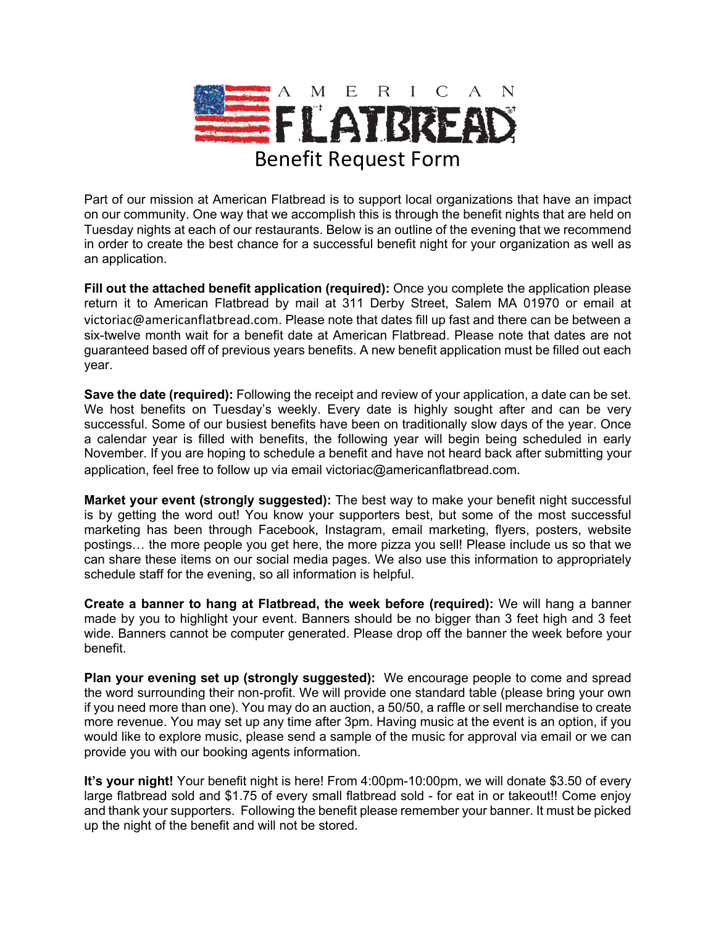

Part of our mission at American Flatbread is to support local organizations that have an impact on our community. One way that we accomplish this is through the benefit nights that are held on Tuesday nights at each of our restaurants. Below is an outline of the evening that we recommend in order to create the best chance for a successful benefit night for your organization as well as an application.

**Fill out the attached benefit application (required):** Once you complete the application please return it to American Flatbread by mail at 311 Derby Street, Salem MA 01970 or email at victoriac@americanflatbread.com. Please note that dates fill up fast and there can be between a six-twelve month wait for a benefit date at American Flatbread. Please note that dates are not guaranteed based off of previous years benefits. A new benefit application must be filled out each year.

**Save the date (required):** Following the receipt and review of your application, a date can be set. We host benefits on Tuesday's weekly. Every date is highly sought after and can be very successful. Some of our busiest benefits have been on traditionally slow days of the year. Once a calendar year is filled with benefits, the following year will begin being scheduled in early November. If you are hoping to schedule a benefit and have not heard back after submitting your application, feel free to follow up via email victoriac@americanflatbread.com.

**Market your event (strongly suggested):** The best way to make your benefit night successful is by getting the word out! You know your supporters best, but some of the most successful marketing has been through Facebook, Instagram, email marketing, flyers, posters, website postings… the more people you get here, the more pizza you sell! Please include us so that we can share these items on our social media pages. We also use this information to appropriately schedule staff for the evening, so all information is helpful.

**Create a banner to hang at Flatbread, the week before (required):** We will hang a banner made by you to highlight your event. Banners should be no bigger than 3 feet high and 3 feet wide. Banners cannot be computer generated. Please drop off the banner the week before your benefit.

**Plan your evening set up (strongly suggested):** We encourage people to come and spread the word surrounding their non-profit. We will provide one standard table (please bring your own if you need more than one). You may do an auction, a 50/50, a raffle or sell merchandise to create more revenue. You may set up any time after 3pm. Having music at the event is an option, if you would like to explore music, please send a sample of the music for approval via email or we can provide you with our booking agents information.

**It's your night!** Your benefit night is here! From 4:00pm-10:00pm, we will donate \$3.50 of every large flatbread sold and \$1.75 of every small flatbread sold - for eat in or takeout!! Come enjoy and thank your supporters. Following the benefit please remember your banner. It must be picked up the night of the benefit and will not be stored.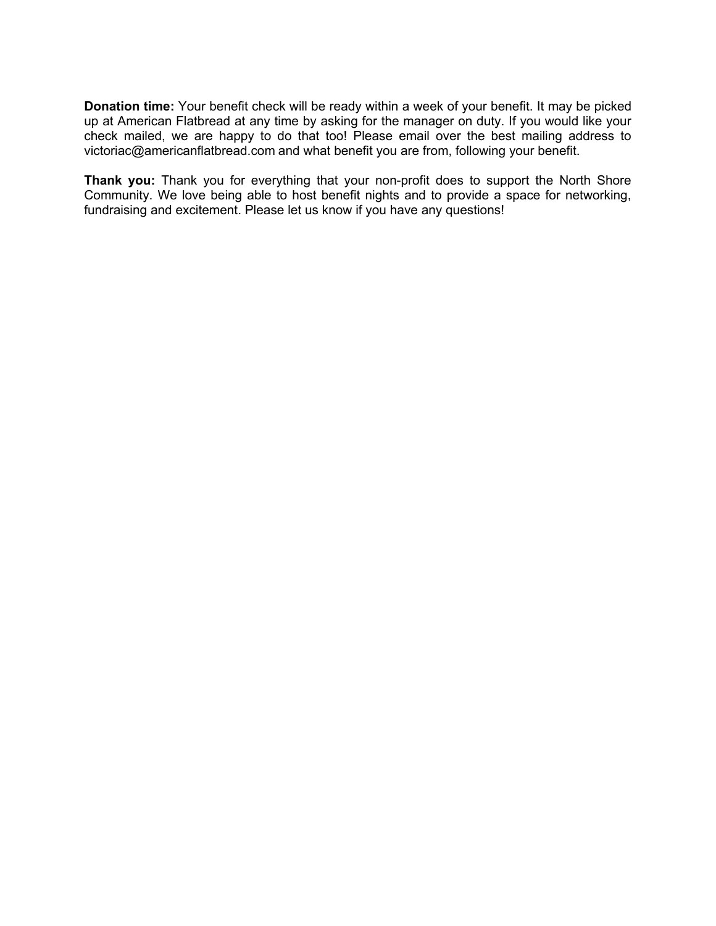**Donation time:** Your benefit check will be ready within a week of your benefit. It may be picked up at American Flatbread at any time by asking for the manager on duty. If you would like your check mailed, we are happy to do that too! Please email over the best mailing address to victoriac@americanflatbread.com and what benefit you are from, following your benefit.

**Thank you:** Thank you for everything that your non-profit does to support the North Shore Community. We love being able to host benefit nights and to provide a space for networking, fundraising and excitement. Please let us know if you have any questions!